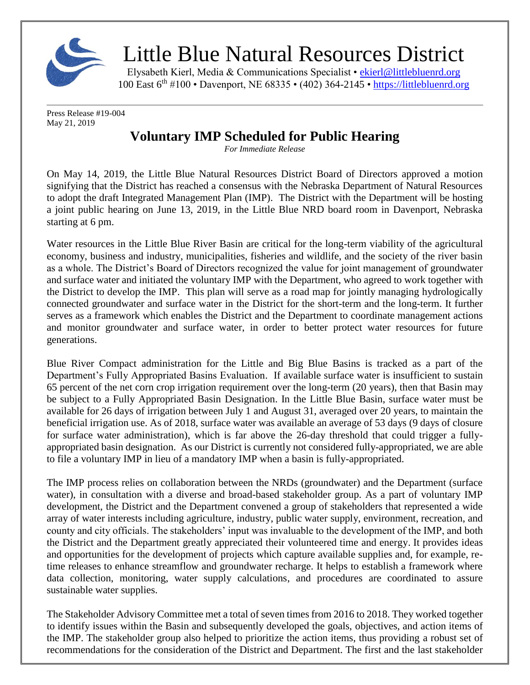

## Little Blue Natural Resources District

Elysabeth Kierl, Media & Communications Specialist • [ekierl@littlebluenrd.org](mailto:ekierl@littlebluenrd.org) 100 East 6th #100 • Davenport, NE 68335 • (402) 364-2145 • [https://littlebluenrd.org](https://littlebluenrd.org/)

Press Release #19-004 May 21, 2019

## **Voluntary IMP Scheduled for Public Hearing**

*For Immediate Release*

On May 14, 2019, the Little Blue Natural Resources District Board of Directors approved a motion signifying that the District has reached a consensus with the Nebraska Department of Natural Resources to adopt the draft Integrated Management Plan (IMP). The District with the Department will be hosting a joint public hearing on June 13, 2019, in the Little Blue NRD board room in Davenport, Nebraska starting at 6 pm.

Water resources in the Little Blue River Basin are critical for the long-term viability of the agricultural economy, business and industry, municipalities, fisheries and wildlife, and the society of the river basin as a whole. The District's Board of Directors recognized the value for joint management of groundwater and surface water and initiated the voluntary IMP with the Department, who agreed to work together with the District to develop the IMP. This plan will serve as a road map for jointly managing hydrologically connected groundwater and surface water in the District for the short-term and the long-term. It further serves as a framework which enables the District and the Department to coordinate management actions and monitor groundwater and surface water, in order to better protect water resources for future generations.

Blue River Compact administration for the Little and Big Blue Basins is tracked as a part of the Department's Fully Appropriated Basins Evaluation. If available surface water is insufficient to sustain 65 percent of the net corn crop irrigation requirement over the long-term (20 years), then that Basin may be subject to a Fully Appropriated Basin Designation. In the Little Blue Basin, surface water must be available for 26 days of irrigation between July 1 and August 31, averaged over 20 years, to maintain the beneficial irrigation use. As of 2018, surface water was available an average of 53 days (9 days of closure for surface water administration), which is far above the 26-day threshold that could trigger a fullyappropriated basin designation. As our District is currently not considered fully-appropriated, we are able to file a voluntary IMP in lieu of a mandatory IMP when a basin is fully-appropriated.

The IMP process relies on collaboration between the NRDs (groundwater) and the Department (surface water), in consultation with a diverse and broad-based stakeholder group. As a part of voluntary IMP development, the District and the Department convened a group of stakeholders that represented a wide array of water interests including agriculture, industry, public water supply, environment, recreation, and county and city officials. The stakeholders' input was invaluable to the development of the IMP, and both the District and the Department greatly appreciated their volunteered time and energy. It provides ideas and opportunities for the development of projects which capture available supplies and, for example, retime releases to enhance streamflow and groundwater recharge. It helps to establish a framework where data collection, monitoring, water supply calculations, and procedures are coordinated to assure sustainable water supplies.

The Stakeholder Advisory Committee met a total of seven times from 2016 to 2018. They worked together to identify issues within the Basin and subsequently developed the goals, objectives, and action items of the IMP. The stakeholder group also helped to prioritize the action items, thus providing a robust set of recommendations for the consideration of the District and Department. The first and the last stakeholder